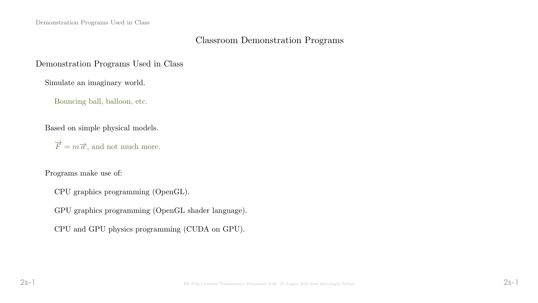# Classroom Demonstration Programs

### Demonstration Programs Used in Class

Simulate an imaginary world.

Bouncing ball, balloon, etc.

Based on simple physical models.

 $\overrightarrow{F} = m\overrightarrow{a}$ , and not much more.

Programs make use of:

CPU graphics programming (OpenGL).

GPU graphics programming (OpenGL shader language).

CPU and GPU physics programming (CUDA on GPU).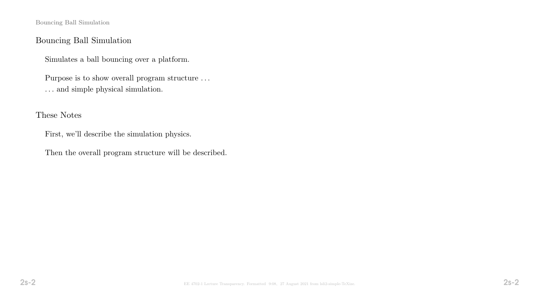Bouncing Ball Simulation

### Bouncing Ball Simulation

Simulates a ball bouncing over a platform.

Purpose is to show overall program structure . . .  $\ldots$  and simple physical simulation.

These Notes

First, we'll describe the simulation physics.

Then the overall program structure will be described.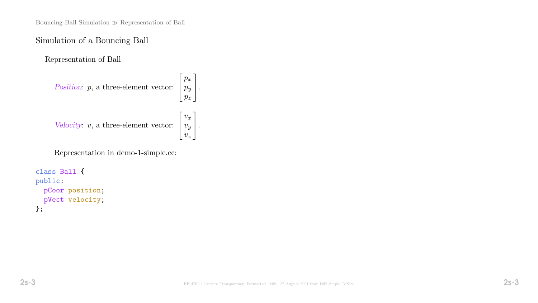Bouncing Ball Simulation  $\gg$  Representation of Ball

#### Simulation of a Bouncing Ball

Representation of Ball

```
Position: p, a three-element vector:
                                                                         \sqrt{ }\overline{\phantom{a}}p_x\overline{p}_yp_{\pmb{z}}1
                                                                                  \vert \cdotVelocity: v, a three-element vector:
                                                                         \lceil\overline{\phantom{a}}v_xv_yv_z1
                                                                                  \vert \cdot
```
Representation in demo-1-simple.cc:

```
class Ball {
public:
  pCoor position;
  pVect velocity;
};
```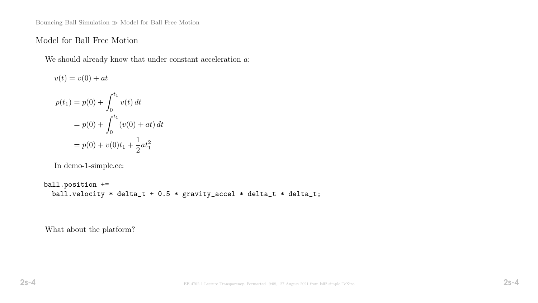Bouncing Ball Simulation  $\gg$  Model for Ball Free Motion

### Model for Ball Free Motion

We should already know that under constant acceleration  $a$ :

$$
v(t) = v(0) + at
$$
  
\n
$$
p(t_1) = p(0) + \int_0^{t_1} v(t) dt
$$
  
\n
$$
= p(0) + \int_0^{t_1} (v(0) + at) dt
$$
  
\n
$$
= p(0) + v(0)t_1 + \frac{1}{2}at_1^2
$$

In demo-1-simple.cc:

ball.position += ball.velocity \* delta\_t +  $0.5$  \* gravity\_accel \* delta\_t \* delta\_t;

What about the platform?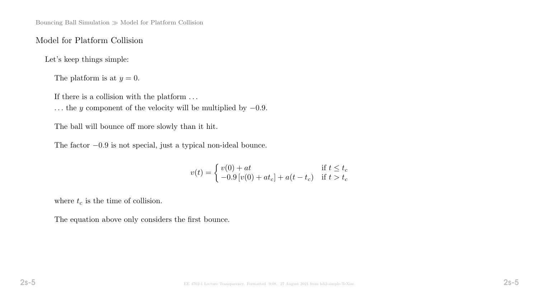# Model for Platform Collision

Let's keep things simple:

The platform is at  $y = 0$ .

If there is a collision with the platform  $\ldots$ 

... the y component of the velocity will be multiplied by  $-0.9$ .

The ball will bounce off more slowly than it hit.

The factor −0.9 is not special, just a typical non-ideal bounce.

$$
v(t) = \begin{cases} v(0) + at & \text{if } t \le t_c \\ -0.9 \left[ v(0) + at_c \right] + a(t - t_c) & \text{if } t > t_c \end{cases}
$$

where  $t_c$  is the time of collision.

The equation above only considers the first bounce.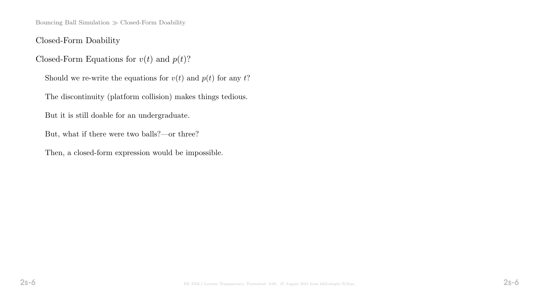Bouncing Ball Simulation  $\gg$  Closed-Form Doability

Closed-Form Doability

Closed-Form Equations for  $v(t)$  and  $p(t)$ ?

Should we re-write the equations for  $v(t)$  and  $p(t)$  for any  $t$ ?

The discontinuity (platform collision) makes things tedious.

But it is still doable for an undergraduate.

But, what if there were two balls?—or three?

Then, a closed-form expression would be impossible.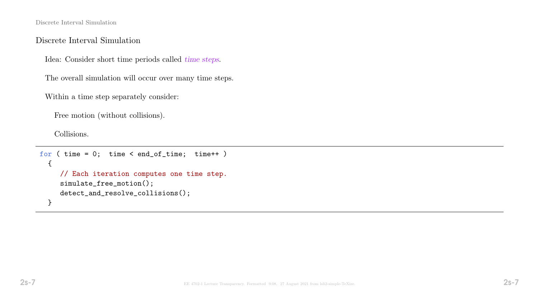Discrete Interval Simulation

#### Discrete Interval Simulation

Idea: Consider short time periods called time steps.

The overall simulation will occur over many time steps.

Within a time step separately consider:

Free motion (without collisions).

Collisions.

```
for ( time = 0; time < end_of_time; time++ )
  {
     // Each iteration computes one time step.
     simulate_free_motion();
     detect_and_resolve_collisions();
  }
```